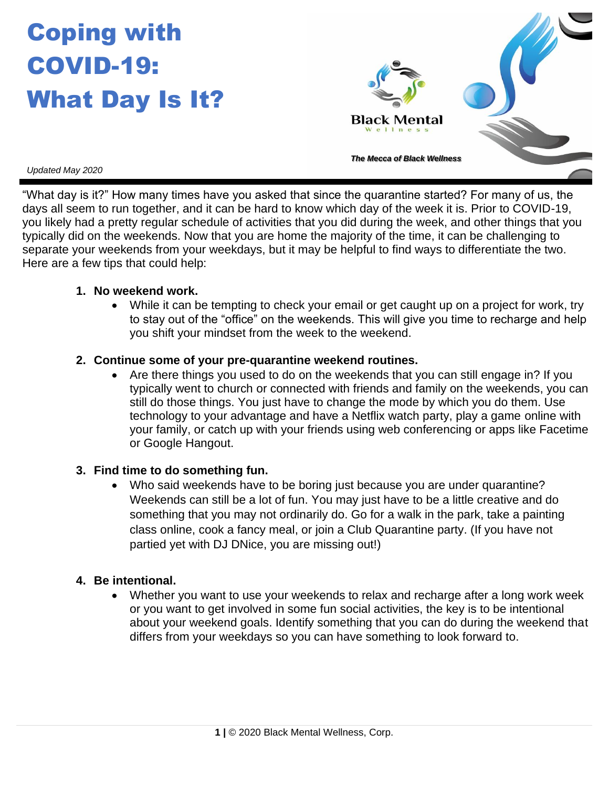# Coping with COVID-19: What Day Is It?



*Updated May 2020*

"What day is it?" How many times have you asked that since the quarantine started? For many of us, the days all seem to run together, and it can be hard to know which day of the week it is. Prior to COVID-19, you likely had a pretty regular schedule of activities that you did during the week, and other things that you typically did on the weekends. Now that you are home the majority of the time, it can be challenging to separate your weekends from your weekdays, but it may be helpful to find ways to differentiate the two. Here are a few tips that could help:

#### **1. No weekend work.**

• While it can be tempting to check your email or get caught up on a project for work, try to stay out of the "office" on the weekends. This will give you time to recharge and help you shift your mindset from the week to the weekend.

#### **2. Continue some of your pre-quarantine weekend routines.**

• Are there things you used to do on the weekends that you can still engage in? If you typically went to church or connected with friends and family on the weekends, you can still do those things. You just have to change the mode by which you do them. Use technology to your advantage and have a Netflix watch party, play a game online with your family, or catch up with your friends using web conferencing or apps like Facetime or Google Hangout.

## **3. Find time to do something fun.**

• Who said weekends have to be boring just because you are under quarantine? Weekends can still be a lot of fun. You may just have to be a little creative and do something that you may not ordinarily do. Go for a walk in the park, take a painting class online, cook a fancy meal, or join a Club Quarantine party. (If you have not partied yet with DJ DNice, you are missing out!)

## **4. Be intentional.**

• Whether you want to use your weekends to relax and recharge after a long work week or you want to get involved in some fun social activities, the key is to be intentional about your weekend goals. Identify something that you can do during the weekend that differs from your weekdays so you can have something to look forward to.